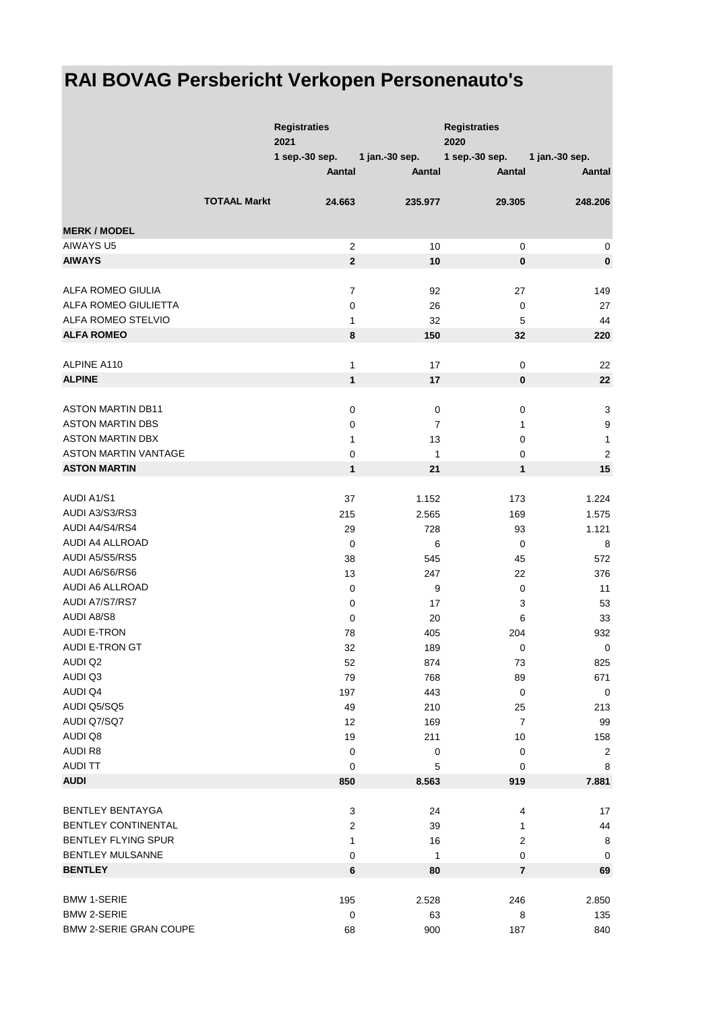## **RAI BOVAG Persbericht Verkopen Personenauto's**

|                               |                     | <b>Registraties</b><br>2021 |                | <b>Registraties</b><br>2020 |                  |
|-------------------------------|---------------------|-----------------------------|----------------|-----------------------------|------------------|
|                               |                     | 1 sep.-30 sep.              | 1 jan.-30 sep. | 1 sep.-30 sep.              | 1 jan.-30 sep.   |
|                               |                     | Aantal                      | Aantal         | Aantal                      | Aantal           |
|                               | <b>TOTAAL Markt</b> | 24.663                      | 235.977        | 29.305                      | 248.206          |
| <b>MERK / MODEL</b>           |                     |                             |                |                             |                  |
| <b>AIWAYS U5</b>              |                     | $\overline{2}$              | 10             | 0                           | 0                |
| <b>AIWAYS</b>                 |                     | $\overline{2}$              | 10             | 0                           | $\pmb{0}$        |
|                               |                     |                             |                |                             |                  |
| ALFA ROMEO GIULIA             |                     | $\boldsymbol{7}$            | 92             | 27                          | 149              |
| ALFA ROMEO GIULIETTA          |                     | 0                           | 26             | 0                           | 27               |
| ALFA ROMEO STELVIO            |                     | 1                           | 32             | 5                           | 44               |
| <b>ALFA ROMEO</b>             |                     | 8                           | 150            | 32                          | 220              |
|                               |                     |                             |                |                             |                  |
| ALPINE A110                   |                     | 1                           | 17             | $\mathbf 0$                 | 22               |
| <b>ALPINE</b>                 |                     | $\mathbf{1}$                | 17             | $\pmb{0}$                   | 22               |
|                               |                     |                             |                |                             |                  |
| <b>ASTON MARTIN DB11</b>      |                     | 0                           | $\mathbf 0$    | 0                           | 3                |
| <b>ASTON MARTIN DBS</b>       |                     | 0                           | $\overline{7}$ | 1                           | $\boldsymbol{9}$ |
| <b>ASTON MARTIN DBX</b>       |                     | 1                           | 13             | 0                           | $\mathbf{1}$     |
| <b>ASTON MARTIN VANTAGE</b>   |                     | $\pmb{0}$                   | $\mathbf{1}$   | 0                           | $\boldsymbol{2}$ |
| <b>ASTON MARTIN</b>           |                     | $\mathbf{1}$                | 21             | $\mathbf{1}$                | 15               |
|                               |                     |                             |                |                             |                  |
| <b>AUDI A1/S1</b>             |                     | 37                          | 1.152          | 173                         | 1.224            |
| AUDI A3/S3/RS3                |                     | 215                         | 2.565          | 169                         | 1.575            |
| AUDI A4/S4/RS4                |                     | 29                          | 728            | 93                          | 1.121            |
| AUDI A4 ALLROAD               |                     | 0                           | 6              | 0                           | 8                |
| AUDI A5/S5/RS5                |                     | 38                          | 545            | 45                          | 572              |
| AUDI A6/S6/RS6                |                     | 13                          | 247            | 22                          | 376              |
| <b>AUDI A6 ALLROAD</b>        |                     | 0                           | 9              | 0                           | 11               |
| AUDI A7/S7/RS7                |                     | 0                           | 17             | 3                           | 53               |
| <b>AUDI A8/S8</b>             |                     | 0                           | 20             | 6                           | 33               |
| <b>AUDI E-TRON</b>            |                     | 78                          | 405            | 204                         | 932              |
| AUDI E-TRON GT                |                     | 32                          | 189            | 0                           | $\pmb{0}$        |
| AUDI Q2                       |                     | 52                          | 874            | 73                          | 825              |
| AUDI Q3                       |                     | 79                          | 768            | 89                          | 671              |
| <b>AUDI Q4</b>                |                     | 197                         | 443            | $\mathbf 0$                 | $\mathbf 0$      |
| AUDI Q5/SQ5                   |                     | 49                          | 210            | 25                          | 213              |
| AUDI Q7/SQ7                   |                     | 12                          | 169            | $\overline{7}$              | 99               |
| AUDI Q8                       |                     | 19                          | 211            | 10                          | 158              |
| <b>AUDIR8</b>                 |                     | $\mathbf 0$                 | $\mathbf 0$    | $\mathbf 0$                 | 2                |
| <b>AUDI TT</b>                |                     | 0                           | 5              | $\mathbf 0$                 | 8                |
| <b>AUDI</b>                   |                     | 850                         | 8.563          | 919                         | 7.881            |
|                               |                     |                             |                |                             |                  |
| <b>BENTLEY BENTAYGA</b>       |                     | 3                           | 24             | 4                           | 17               |
| BENTLEY CONTINENTAL           |                     | 2                           | 39             | 1                           | 44               |
| BENTLEY FLYING SPUR           |                     | 1                           | 16             | 2                           | 8                |
| <b>BENTLEY MULSANNE</b>       |                     | 0                           | $\mathbf{1}$   | 0                           | 0                |
| <b>BENTLEY</b>                |                     | 6                           | 80             | $\bf 7$                     | 69               |
| <b>BMW 1-SERIE</b>            |                     |                             |                |                             |                  |
| <b>BMW 2-SERIE</b>            |                     | 195                         | 2.528<br>63    | 246                         | 2.850<br>135     |
| <b>BMW 2-SERIE GRAN COUPE</b> |                     | 0<br>68                     | 900            | 8<br>187                    | 840              |
|                               |                     |                             |                |                             |                  |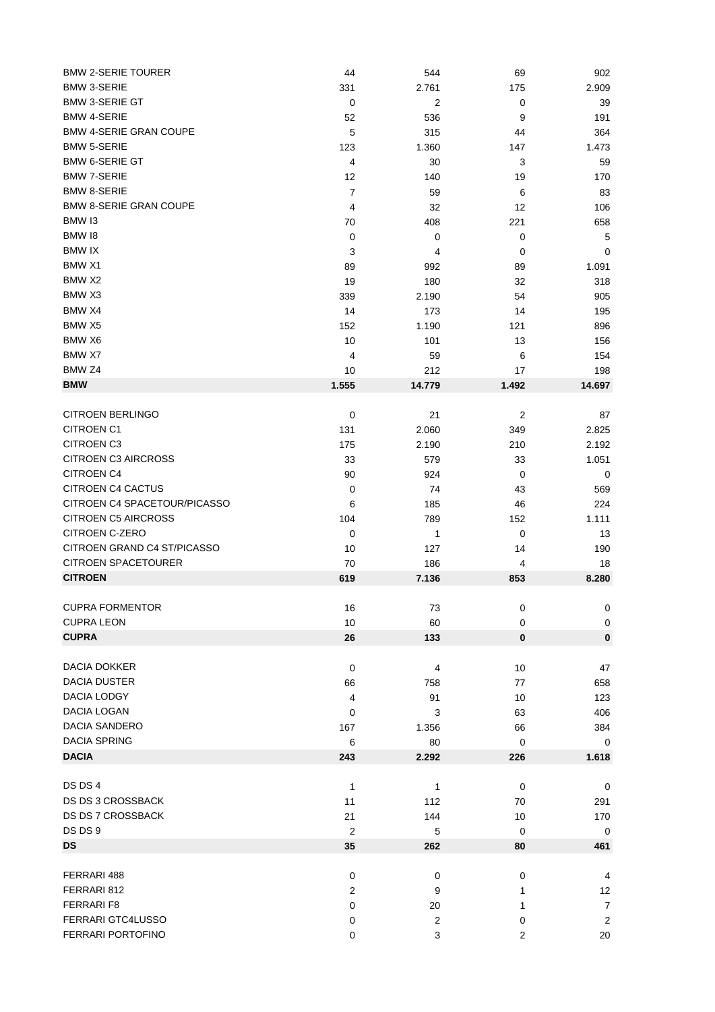| <b>BMW 2-SERIE TOURER</b>     | 44               | 544    | 69             | 902            |
|-------------------------------|------------------|--------|----------------|----------------|
| <b>BMW 3-SERIE</b>            | 331              | 2.761  | 175            | 2.909          |
| <b>BMW 3-SERIE GT</b>         | $\mathbf 0$      | 2      | $\pmb{0}$      | 39             |
| <b>BMW 4-SERIE</b>            | 52               | 536    | 9              | 191            |
| <b>BMW 4-SERIE GRAN COUPE</b> | 5                | 315    | 44             | 364            |
| <b>BMW 5-SERIE</b>            | 123              | 1.360  | 147            | 1.473          |
| <b>BMW 6-SERIE GT</b>         | $\overline{4}$   | 30     | 3              | 59             |
| <b>BMW 7-SERIE</b>            | 12               | 140    | 19             | 170            |
| <b>BMW 8-SERIE</b>            | $\overline{7}$   | 59     | 6              | 83             |
| <b>BMW 8-SERIE GRAN COUPE</b> | 4                | 32     | 12             | 106            |
| BMW 13                        | 70               | 408    | 221            | 658            |
| BMW 18                        |                  |        |                |                |
|                               | 0                | 0      | 0              | 5              |
| <b>BMW IX</b>                 | 3                | 4      | 0              | 0              |
| BMW X1                        | 89               | 992    | 89             | 1.091          |
| BMW X2                        | 19               | 180    | 32             | 318            |
| BMW X3                        | 339              | 2.190  | 54             | 905            |
| BMW X4                        | 14               | 173    | 14             | 195            |
| BMW X5                        | 152              | 1.190  | 121            | 896            |
| BMW X6                        | 10               | 101    | 13             | 156            |
| BMW X7                        | 4                | 59     | 6              | 154            |
| BMW <sub>Z4</sub>             | 10               | 212    | 17             | 198            |
| <b>BMW</b>                    | 1.555            | 14.779 | 1.492          | 14.697         |
|                               |                  |        |                |                |
| <b>CITROEN BERLINGO</b>       | $\mathbf 0$      | 21     | $\overline{c}$ | 87             |
| <b>CITROEN C1</b>             | 131              | 2.060  | 349            | 2.825          |
| <b>CITROEN C3</b>             | 175              | 2.190  | 210            | 2.192          |
| <b>CITROEN C3 AIRCROSS</b>    | 33               | 579    | 33             | 1.051          |
| <b>CITROEN C4</b>             |                  |        |                |                |
| <b>CITROEN C4 CACTUS</b>      | 90               | 924    | 0              | 0              |
|                               | 0                | 74     | 43             | 569            |
| CITROEN C4 SPACETOUR/PICASSO  | 6                | 185    | 46             | 224            |
| <b>CITROEN C5 AIRCROSS</b>    | 104              | 789    | 152            | 1.111          |
| CITROEN C-ZERO                | 0                | 1      | $\mathbf 0$    | 13             |
| CITROEN GRAND C4 ST/PICASSO   | 10               | 127    | 14             | 190            |
| CITROEN SPACETOURER           | 70               | 186    | 4              | 18             |
| <b>CITROEN</b>                | 619              | 7.136  | 853            | 8.280          |
|                               |                  |        |                |                |
| <b>CUPRA FORMENTOR</b>        | 16               | 73     | 0              | 0              |
| <b>CUPRA LEON</b>             | 10               | 60     | $\mathbf 0$    | 0              |
| <b>CUPRA</b>                  | 26               | 133    | 0              | $\pmb{0}$      |
|                               |                  |        |                |                |
| DACIA DOKKER                  | $\mathbf 0$      | 4      | 10             | 47             |
| <b>DACIA DUSTER</b>           | 66               | 758    | 77             | 658            |
| DACIA LODGY                   | 4                | 91     | 10             | 123            |
| DACIA LOGAN                   | 0                | 3      | 63             | 406            |
| <b>DACIA SANDERO</b>          | 167              | 1.356  | 66             | 384            |
| <b>DACIA SPRING</b>           |                  |        |                | 0              |
| <b>DACIA</b>                  | 6                | 80     | 0              |                |
|                               | 243              | 2.292  | 226            | 1.618          |
|                               |                  |        |                |                |
| DS DS 4                       | $\mathbf{1}$     | 1      | 0              | $\mathbf 0$    |
| DS DS 3 CROSSBACK             | 11               | 112    | 70             | 291            |
| <b>DS DS 7 CROSSBACK</b>      | 21               | 144    | 10             | 170            |
| DS DS 9                       | $\boldsymbol{2}$ | 5      | $\mathbf 0$    | $\mathbf 0$    |
| <b>DS</b>                     | 35               | 262    | 80             | 461            |
|                               |                  |        |                |                |
| FERRARI 488                   | $\mathbf 0$      | 0      | 0              | 4              |
| FERRARI 812                   | $\overline{c}$   | 9      | 1              | 12             |
| <b>FERRARI F8</b>             | 0                | 20     | 1              | $\overline{7}$ |
| FERRARI GTC4LUSSO             | 0                | 2      | 0              | $\overline{2}$ |
| FERRARI PORTOFINO             | 0                | 3      | 2              | $20\,$         |
|                               |                  |        |                |                |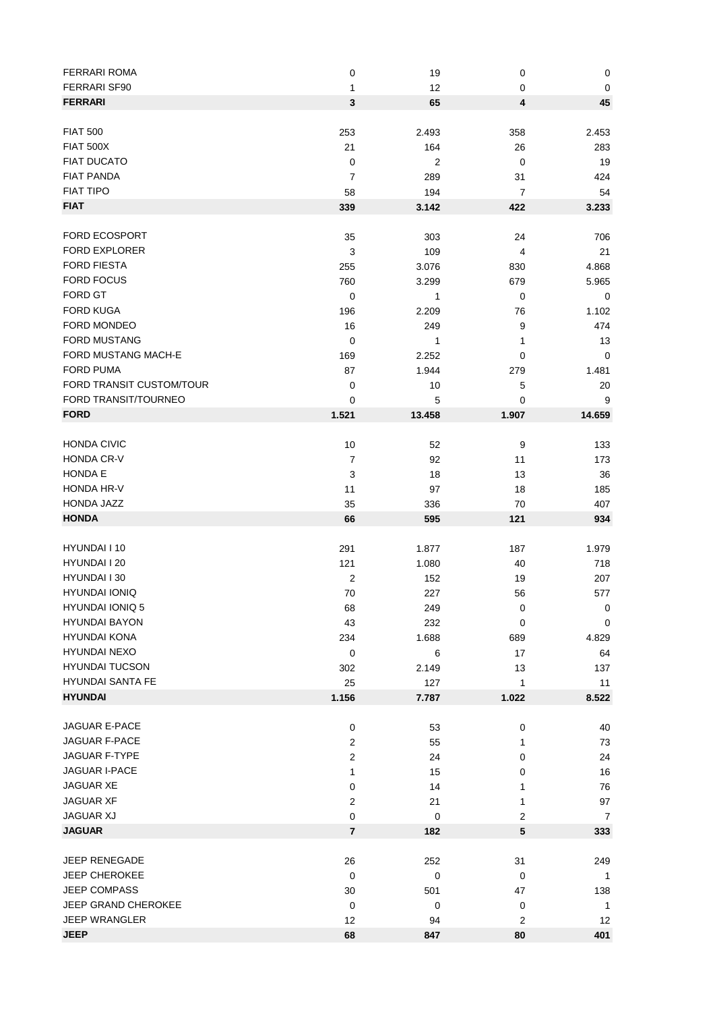| <b>FERRARI ROMA</b>      | $\pmb{0}$               | 19             | 0                       | $\pmb{0}$      |
|--------------------------|-------------------------|----------------|-------------------------|----------------|
| <b>FERRARI SF90</b>      | 1                       | 12             | 0                       | $\pmb{0}$      |
| <b>FERRARI</b>           | 3                       | 65             | 4                       | 45             |
|                          |                         |                |                         |                |
| <b>FIAT 500</b>          | 253                     | 2.493          | 358                     | 2.453          |
| <b>FIAT 500X</b>         | 21                      | 164            | 26                      | 283            |
| <b>FIAT DUCATO</b>       | $\mathbf 0$             | $\overline{2}$ | 0                       | 19             |
| <b>FIAT PANDA</b>        | 7                       | 289            | 31                      | 424            |
| <b>FIAT TIPO</b>         | 58                      | 194            | 7                       | 54             |
| <b>FIAT</b>              | 339                     | 3.142          | 422                     | 3.233          |
|                          |                         |                |                         |                |
| <b>FORD ECOSPORT</b>     | 35                      | 303            | 24                      | 706            |
| <b>FORD EXPLORER</b>     |                         |                |                         | 21             |
|                          | 3                       | 109            | 4                       |                |
| <b>FORD FIESTA</b>       | 255                     | 3.076          | 830                     | 4.868          |
| <b>FORD FOCUS</b>        | 760                     | 3.299          | 679                     | 5.965          |
| FORD GT                  | $\mathbf 0$             | 1              | 0                       | $\mathbf 0$    |
| <b>FORD KUGA</b>         | 196                     | 2.209          | 76                      | 1.102          |
| <b>FORD MONDEO</b>       | 16                      | 249            | 9                       | 474            |
| <b>FORD MUSTANG</b>      | $\mathbf 0$             | 1              | 1                       | 13             |
| FORD MUSTANG MACH-E      | 169                     | 2.252          | 0                       | $\mathbf 0$    |
| <b>FORD PUMA</b>         | 87                      | 1.944          | 279                     | 1.481          |
| FORD TRANSIT CUSTOM/TOUR | $\mathbf 0$             | 10             | 5                       | 20             |
| FORD TRANSIT/TOURNEO     | 0                       | 5              | 0                       | 9              |
| <b>FORD</b>              | 1.521                   | 13.458         | 1.907                   | 14.659         |
|                          |                         |                |                         |                |
| <b>HONDA CIVIC</b>       | 10                      | 52             | 9                       | 133            |
| <b>HONDA CR-V</b>        | $\overline{7}$          | 92             | 11                      | 173            |
| <b>HONDA E</b>           | 3                       | 18             | 13                      | 36             |
| <b>HONDA HR-V</b>        | 11                      | 97             | 18                      | 185            |
| HONDA JAZZ               | 35                      | 336            | 70                      | 407            |
| <b>HONDA</b>             | 66                      | 595            | 121                     | 934            |
|                          |                         |                |                         |                |
| HYUNDAI I 10             | 291                     | 1.877          | 187                     | 1.979          |
| HYUNDAI I 20             | 121                     | 1.080          | 40                      | 718            |
| HYUNDAI I 30             | $\boldsymbol{2}$        | 152            | 19                      | 207            |
| <b>HYUNDAI IONIQ</b>     |                         |                |                         |                |
|                          | 70                      | 227            | 56                      | 577            |
| HYUNDAI IONIQ 5          | 68                      | 249            | $\mathbf 0$             | $\mathbf{0}$   |
| <b>HYUNDAI BAYON</b>     | 43                      | 232            | 0                       | $\mathbf 0$    |
| <b>HYUNDAI KONA</b>      | 234                     | 1.688          | 689                     | 4.829          |
| <b>HYUNDAI NEXO</b>      | $\mathbf 0$             | 6              | 17                      | 64             |
| <b>HYUNDAI TUCSON</b>    | 302                     | 2.149          | 13                      | 137            |
| <b>HYUNDAI SANTA FE</b>  | 25                      | 127            | 1                       | 11             |
| <b>HYUNDAI</b>           | 1.156                   | 7.787          | 1.022                   | 8.522          |
|                          |                         |                |                         |                |
| JAGUAR E-PACE            | $\mathbf 0$             | 53             | 0                       | 40             |
| <b>JAGUAR F-PACE</b>     | 2                       | 55             | 1                       | 73             |
| JAGUAR F-TYPE            | $\overline{\mathbf{c}}$ | 24             | 0                       | 24             |
| <b>JAGUAR I-PACE</b>     | 1                       | 15             | 0                       | 16             |
| JAGUAR XE                | 0                       | 14             | 1                       | 76             |
| JAGUAR XF                | 2                       | 21             | 1                       | 97             |
| <b>JAGUAR XJ</b>         | $\boldsymbol{0}$        | 0              | $\overline{\mathbf{c}}$ | $\overline{7}$ |
| <b>JAGUAR</b>            | $\overline{7}$          | 182            | 5                       | 333            |
|                          |                         |                |                         |                |
| JEEP RENEGADE            | 26                      | 252            | 31                      | 249            |
| <b>JEEP CHEROKEE</b>     | $\mathbf 0$             | 0              | 0                       | 1              |
| <b>JEEP COMPASS</b>      | 30                      | 501            | 47                      | 138            |
| JEEP GRAND CHEROKEE      | $\mathbf 0$             | 0              | 0                       | $\mathbf{1}$   |
| <b>JEEP WRANGLER</b>     | 12                      |                | $\overline{c}$          | 12             |
| <b>JEEP</b>              |                         | 94             |                         |                |
|                          | 68                      | 847            | 80                      | 401            |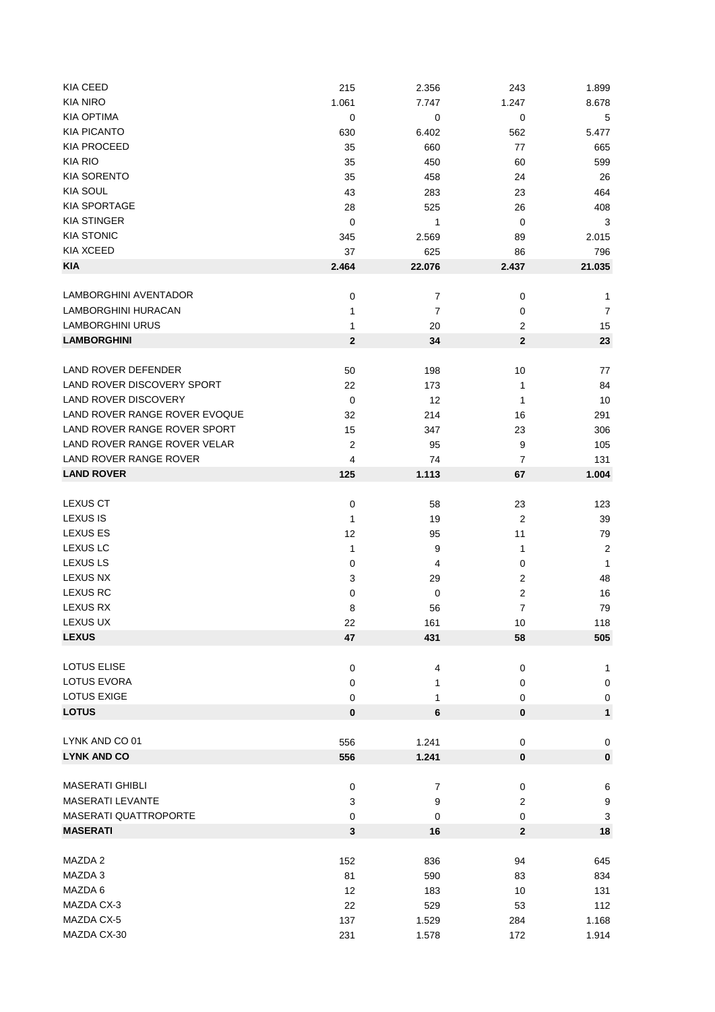| KIA CEED                      | 215              | 2.356          | 243            | 1.899            |
|-------------------------------|------------------|----------------|----------------|------------------|
| <b>KIA NIRO</b>               | 1.061            | 7.747          | 1.247          | 8.678            |
| KIA OPTIMA                    | 0                | 0              | 0              | 5                |
| <b>KIA PICANTO</b>            | 630              | 6.402          | 562            | 5.477            |
| KIA PROCEED                   | 35               | 660            | 77             | 665              |
| <b>KIA RIO</b>                | 35               | 450            | 60             | 599              |
| <b>KIA SORENTO</b>            | 35               | 458            | 24             | 26               |
| <b>KIA SOUL</b>               |                  |                |                |                  |
|                               | 43               | 283            | 23             | 464              |
| <b>KIA SPORTAGE</b>           | 28               | 525            | 26             | 408              |
| <b>KIA STINGER</b>            | 0                | 1              | 0              | 3                |
| <b>KIA STONIC</b>             | 345              | 2.569          | 89             | 2.015            |
| KIA XCEED                     | 37               | 625            | 86             | 796              |
| <b>KIA</b>                    | 2.464            | 22.076         | 2.437          | 21.035           |
|                               |                  |                |                |                  |
| LAMBORGHINI AVENTADOR         | 0                | 7              | 0              | 1                |
| LAMBORGHINI HURACAN           | 1                | 7              | $\mathbf 0$    | 7                |
| <b>LAMBORGHINI URUS</b>       | 1                | 20             | $\overline{2}$ | 15               |
| <b>LAMBORGHINI</b>            | $\bf{2}$         | 34             | $\overline{2}$ | 23               |
|                               |                  |                |                |                  |
| <b>LAND ROVER DEFENDER</b>    | 50               | 198            | 10             | 77               |
| LAND ROVER DISCOVERY SPORT    | 22               | 173            | 1              | 84               |
| <b>LAND ROVER DISCOVERY</b>   | 0                | 12             | 1              | 10               |
| LAND ROVER RANGE ROVER EVOQUE |                  |                |                |                  |
|                               | 32               | 214            | 16             | 291              |
| LAND ROVER RANGE ROVER SPORT  | 15               | 347            | 23             | 306              |
| LAND ROVER RANGE ROVER VELAR  | $\boldsymbol{2}$ | 95             | 9              | 105              |
| LAND ROVER RANGE ROVER        | 4                | 74             | 7              | 131              |
| <b>LAND ROVER</b>             | 125              | 1.113          | 67             | 1.004            |
|                               |                  |                |                |                  |
| <b>LEXUS CT</b>               | 0                | 58             | 23             | 123              |
| <b>LEXUS IS</b>               | 1                | 19             | $\overline{2}$ | 39               |
| <b>LEXUS ES</b>               | 12               | 95             | 11             | 79               |
| <b>LEXUS LC</b>               | 1                | 9              | 1              | $\boldsymbol{2}$ |
| <b>LEXUS LS</b>               | 0                | 4              | $\mathbf 0$    | 1                |
| <b>LEXUS NX</b>               | 3                | 29             | 2              | 48               |
| <b>LEXUS RC</b>               | 0                | 0              | 2              | 16               |
| <b>LEXUS RX</b>               | 8                | 56             | $\overline{7}$ | 79               |
| LEXUS UX                      | 22               | 161            | 10             | 118              |
|                               |                  |                |                |                  |
| <b>LEXUS</b>                  | 47               | 431            | 58             | 505              |
|                               |                  |                |                |                  |
| LOTUS ELISE                   | 0                | 4              | $\mathbf 0$    | 1                |
| LOTUS EVORA                   | 0                | 1              | 0              | $\pmb{0}$        |
| LOTUS EXIGE                   | 0                | 1              | 0              | $\pmb{0}$        |
| <b>LOTUS</b>                  | $\bf{0}$         | $6\phantom{1}$ | $\bf{0}$       | 1                |
|                               |                  |                |                |                  |
| LYNK AND CO 01                | 556              | 1.241          | 0              | $\pmb{0}$        |
| <b>LYNK AND CO</b>            | 556              | 1.241          | $\mathbf 0$    | $\pmb{0}$        |
|                               |                  |                |                |                  |
| <b>MASERATI GHIBLI</b>        | 0                | 7              | 0              | $\,6$            |
| <b>MASERATI LEVANTE</b>       | 3                | 9              | $\overline{2}$ | $\boldsymbol{9}$ |
| MASERATI QUATTROPORTE         | $\mathbf 0$      | 0              | 0              | 3                |
| <b>MASERATI</b>               | 3                | 16             | $\overline{2}$ | 18               |
|                               |                  |                |                |                  |
| MAZDA 2                       | 152              | 836            | 94             | 645              |
| MAZDA 3                       | 81               | 590            | 83             | 834              |
| MAZDA 6                       | 12               | 183            | 10             | 131              |
| MAZDA CX-3                    | 22               | 529            | 53             | 112              |
|                               |                  |                |                |                  |
| MAZDA CX-5                    | 137              | 1.529          | 284            | 1.168            |
| MAZDA CX-30                   | 231              | 1.578          | 172            | 1.914            |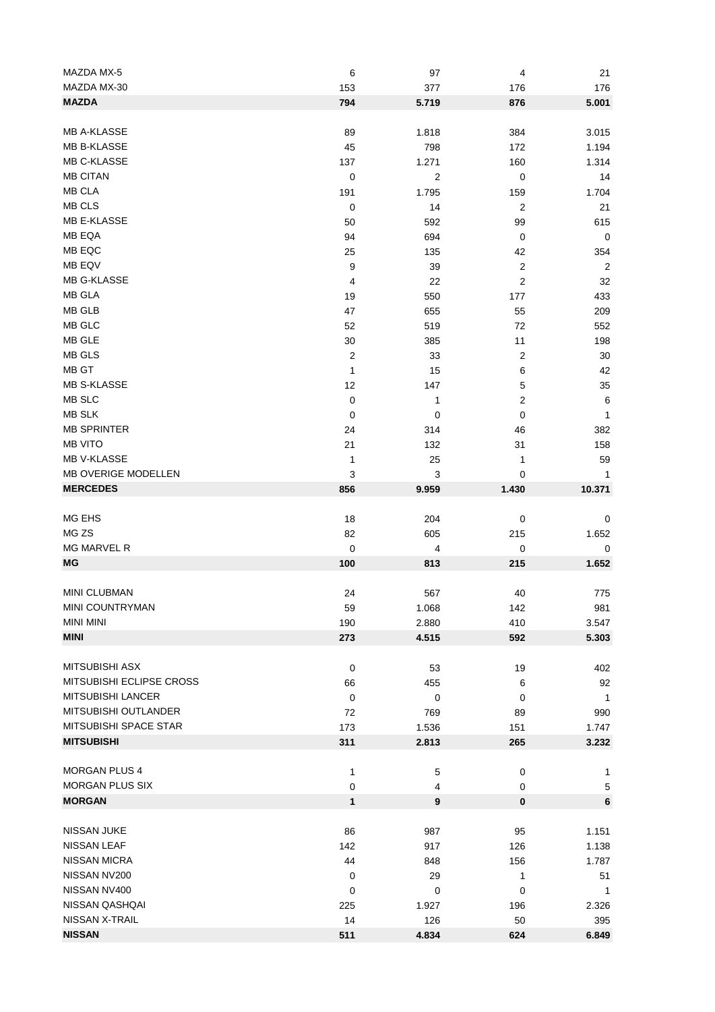| MAZDA MX-5                 | 6              | 97    | 4                | 21             |
|----------------------------|----------------|-------|------------------|----------------|
| MAZDA MX-30                | 153            | 377   | 176              | 176            |
| <b>MAZDA</b>               | 794            | 5.719 | 876              | 5.001          |
|                            |                |       |                  |                |
| <b>MB A-KLASSE</b>         | 89             | 1.818 | 384              | 3.015          |
| <b>MB B-KLASSE</b>         | 45             | 798   | 172              | 1.194          |
| MB C-KLASSE                | 137            | 1.271 | 160              | 1.314          |
| <b>MB CITAN</b>            | $\pmb{0}$      | 2     | $\mathbf 0$      | 14             |
| <b>MB CLA</b>              |                |       |                  |                |
|                            | 191            | 1.795 | 159              | 1.704          |
| MB CLS                     | $\mathbf 0$    | 14    | $\boldsymbol{2}$ | 21             |
| MB E-KLASSE                | 50             | 592   | 99               | 615            |
| MB EQA                     | 94             | 694   | $\mathbf 0$      | $\mathbf 0$    |
| MB EQC                     | 25             | 135   | 42               | 354            |
| MB EQV                     | 9              | 39    | $\overline{2}$   | $\overline{c}$ |
| MB G-KLASSE                | 4              | 22    | $\overline{2}$   | 32             |
| MB GLA                     | 19             | 550   | 177              | 433            |
| MB GLB                     | 47             | 655   | 55               | 209            |
| MB GLC                     | 52             | 519   | 72               | 552            |
| MB GLE                     | 30             | 385   | 11               | 198            |
| MB GLS                     | $\overline{c}$ | 33    | $\overline{2}$   | 30             |
| MB GT                      | 1              | 15    | 6                | 42             |
| <b>MB S-KLASSE</b>         | 12             |       | 5                | 35             |
| MB SLC                     |                | 147   |                  |                |
|                            | $\pmb{0}$      | 1     | 2                | 6              |
| <b>MB SLK</b>              | $\mathbf 0$    | 0     | $\mathbf 0$      | 1              |
| <b>MB SPRINTER</b>         | 24             | 314   | 46               | 382            |
| <b>MB VITO</b>             | 21             | 132   | 31               | 158            |
| MB V-KLASSE                | 1              | 25    | 1                | 59             |
| <b>MB OVERIGE MODELLEN</b> | 3              | 3     | 0                | 1              |
| <b>MERCEDES</b>            | 856            | 9.959 | 1.430            | 10.371         |
|                            |                |       |                  |                |
| MG EHS                     | 18             | 204   | $\mathbf 0$      | 0              |
| MG ZS                      | 82             | 605   | 215              | 1.652          |
| MG MARVEL R                | $\pmb{0}$      | 4     | $\pmb{0}$        | 0              |
| MG                         | 100            | 813   | 215              | 1.652          |
|                            |                |       |                  |                |
| MINI CLUBMAN               | 24             | 567   | 40               |                |
|                            |                |       |                  | 775            |
| MINI COUNTRYMAN            | 59             | 1.068 | 142              | 981            |
| <b>MINI MINI</b>           | 190            | 2.880 | 410              | 3.547          |
| <b>MINI</b>                | 273            | 4.515 | 592              | 5.303          |
|                            |                |       |                  |                |
| <b>MITSUBISHI ASX</b>      | $\mathbf 0$    | 53    | 19               | 402            |
| MITSUBISHI ECLIPSE CROSS   | 66             | 455   | 6                | 92             |
| <b>MITSUBISHI LANCER</b>   | $\pmb{0}$      | 0     | 0                | $\mathbf{1}$   |
| MITSUBISHI OUTLANDER       | 72             | 769   | 89               | 990            |
| MITSUBISHI SPACE STAR      | 173            | 1.536 | 151              | 1.747          |
| <b>MITSUBISHI</b>          | 311            | 2.813 | 265              | 3.232          |
|                            |                |       |                  |                |
| <b>MORGAN PLUS 4</b>       | 1              | 5     | 0                | 1              |
| <b>MORGAN PLUS SIX</b>     | 0              | 4     | 0                | 5              |
| <b>MORGAN</b>              | 1              | 9     | $\pmb{0}$        |                |
|                            |                |       |                  | 6              |
|                            |                |       |                  |                |
| NISSAN JUKE                | 86             | 987   | 95               | 1.151          |
| NISSAN LEAF                | 142            | 917   | 126              | 1.138          |
| <b>NISSAN MICRA</b>        | 44             | 848   | 156              | 1.787          |
| NISSAN NV200               | $\mathbf 0$    | 29    | $\mathbf{1}$     | 51             |
| NISSAN NV400               | $\mathbf 0$    | 0     | $\mathbf 0$      | $\mathbf{1}$   |
| NISSAN QASHQAI             | 225            | 1.927 | 196              | 2.326          |
| NISSAN X-TRAIL             | 14             | 126   | 50               | 395            |
| <b>NISSAN</b>              | 511            | 4.834 | 624              | 6.849          |
|                            |                |       |                  |                |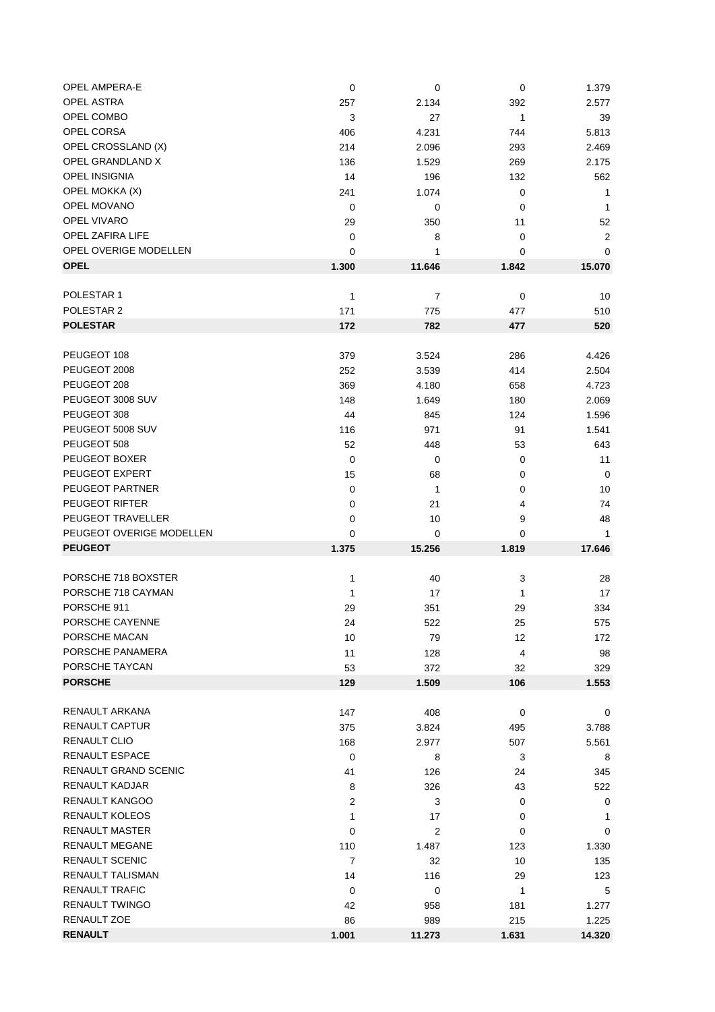|                | 0                                                                                                                                                                                                                                  |                                                                                                                                                                                                                                             | 1.379                                                                                                                                                                                                                                         |
|----------------|------------------------------------------------------------------------------------------------------------------------------------------------------------------------------------------------------------------------------------|---------------------------------------------------------------------------------------------------------------------------------------------------------------------------------------------------------------------------------------------|-----------------------------------------------------------------------------------------------------------------------------------------------------------------------------------------------------------------------------------------------|
| 257            | 2.134                                                                                                                                                                                                                              | 392                                                                                                                                                                                                                                         | 2.577                                                                                                                                                                                                                                         |
| 3              | 27                                                                                                                                                                                                                                 | $\mathbf{1}$                                                                                                                                                                                                                                | 39                                                                                                                                                                                                                                            |
| 406            | 4.231                                                                                                                                                                                                                              | 744                                                                                                                                                                                                                                         | 5.813                                                                                                                                                                                                                                         |
| 214            | 2.096                                                                                                                                                                                                                              | 293                                                                                                                                                                                                                                         | 2.469                                                                                                                                                                                                                                         |
| 136            | 1.529                                                                                                                                                                                                                              | 269                                                                                                                                                                                                                                         | 2.175                                                                                                                                                                                                                                         |
| 14             | 196                                                                                                                                                                                                                                | 132                                                                                                                                                                                                                                         | 562                                                                                                                                                                                                                                           |
| 241            | 1.074                                                                                                                                                                                                                              | $\mathbf 0$                                                                                                                                                                                                                                 | 1                                                                                                                                                                                                                                             |
| 0              | 0                                                                                                                                                                                                                                  | 0                                                                                                                                                                                                                                           | $\mathbf{1}$                                                                                                                                                                                                                                  |
| 29             | 350                                                                                                                                                                                                                                | 11                                                                                                                                                                                                                                          | 52                                                                                                                                                                                                                                            |
|                |                                                                                                                                                                                                                                    |                                                                                                                                                                                                                                             | $\overline{2}$                                                                                                                                                                                                                                |
|                |                                                                                                                                                                                                                                    |                                                                                                                                                                                                                                             | $\mathbf 0$                                                                                                                                                                                                                                   |
| 1.300          | 11.646                                                                                                                                                                                                                             |                                                                                                                                                                                                                                             | 15.070                                                                                                                                                                                                                                        |
|                |                                                                                                                                                                                                                                    |                                                                                                                                                                                                                                             |                                                                                                                                                                                                                                               |
| 1              | 7                                                                                                                                                                                                                                  |                                                                                                                                                                                                                                             | 10                                                                                                                                                                                                                                            |
|                |                                                                                                                                                                                                                                    |                                                                                                                                                                                                                                             | 510                                                                                                                                                                                                                                           |
|                |                                                                                                                                                                                                                                    |                                                                                                                                                                                                                                             | 520                                                                                                                                                                                                                                           |
|                |                                                                                                                                                                                                                                    |                                                                                                                                                                                                                                             |                                                                                                                                                                                                                                               |
|                |                                                                                                                                                                                                                                    |                                                                                                                                                                                                                                             | 4.426                                                                                                                                                                                                                                         |
|                |                                                                                                                                                                                                                                    |                                                                                                                                                                                                                                             | 2.504                                                                                                                                                                                                                                         |
|                |                                                                                                                                                                                                                                    |                                                                                                                                                                                                                                             | 4.723                                                                                                                                                                                                                                         |
|                |                                                                                                                                                                                                                                    |                                                                                                                                                                                                                                             | 2.069                                                                                                                                                                                                                                         |
|                |                                                                                                                                                                                                                                    |                                                                                                                                                                                                                                             | 1.596                                                                                                                                                                                                                                         |
|                |                                                                                                                                                                                                                                    |                                                                                                                                                                                                                                             | 1.541                                                                                                                                                                                                                                         |
|                |                                                                                                                                                                                                                                    |                                                                                                                                                                                                                                             | 643                                                                                                                                                                                                                                           |
|                |                                                                                                                                                                                                                                    |                                                                                                                                                                                                                                             | 11                                                                                                                                                                                                                                            |
|                |                                                                                                                                                                                                                                    |                                                                                                                                                                                                                                             | $\mathbf 0$                                                                                                                                                                                                                                   |
|                |                                                                                                                                                                                                                                    |                                                                                                                                                                                                                                             |                                                                                                                                                                                                                                               |
|                |                                                                                                                                                                                                                                    |                                                                                                                                                                                                                                             | 10                                                                                                                                                                                                                                            |
|                |                                                                                                                                                                                                                                    |                                                                                                                                                                                                                                             | 74                                                                                                                                                                                                                                            |
|                |                                                                                                                                                                                                                                    |                                                                                                                                                                                                                                             | 48                                                                                                                                                                                                                                            |
|                |                                                                                                                                                                                                                                    |                                                                                                                                                                                                                                             | 1                                                                                                                                                                                                                                             |
|                |                                                                                                                                                                                                                                    |                                                                                                                                                                                                                                             | 17.646                                                                                                                                                                                                                                        |
|                |                                                                                                                                                                                                                                    |                                                                                                                                                                                                                                             |                                                                                                                                                                                                                                               |
|                |                                                                                                                                                                                                                                    |                                                                                                                                                                                                                                             | 28                                                                                                                                                                                                                                            |
|                |                                                                                                                                                                                                                                    |                                                                                                                                                                                                                                             | 17                                                                                                                                                                                                                                            |
|                |                                                                                                                                                                                                                                    |                                                                                                                                                                                                                                             | 334                                                                                                                                                                                                                                           |
|                |                                                                                                                                                                                                                                    |                                                                                                                                                                                                                                             | 575                                                                                                                                                                                                                                           |
|                |                                                                                                                                                                                                                                    |                                                                                                                                                                                                                                             | 172                                                                                                                                                                                                                                           |
|                |                                                                                                                                                                                                                                    |                                                                                                                                                                                                                                             | 98                                                                                                                                                                                                                                            |
|                |                                                                                                                                                                                                                                    |                                                                                                                                                                                                                                             | 329                                                                                                                                                                                                                                           |
|                |                                                                                                                                                                                                                                    |                                                                                                                                                                                                                                             | 1.553                                                                                                                                                                                                                                         |
|                |                                                                                                                                                                                                                                    |                                                                                                                                                                                                                                             |                                                                                                                                                                                                                                               |
|                |                                                                                                                                                                                                                                    |                                                                                                                                                                                                                                             | 0                                                                                                                                                                                                                                             |
|                |                                                                                                                                                                                                                                    |                                                                                                                                                                                                                                             | 3.788                                                                                                                                                                                                                                         |
|                |                                                                                                                                                                                                                                    |                                                                                                                                                                                                                                             | 5.561                                                                                                                                                                                                                                         |
|                |                                                                                                                                                                                                                                    |                                                                                                                                                                                                                                             | 8                                                                                                                                                                                                                                             |
|                |                                                                                                                                                                                                                                    |                                                                                                                                                                                                                                             | 345                                                                                                                                                                                                                                           |
|                |                                                                                                                                                                                                                                    |                                                                                                                                                                                                                                             | 522                                                                                                                                                                                                                                           |
| 2              |                                                                                                                                                                                                                                    | 0                                                                                                                                                                                                                                           | 0                                                                                                                                                                                                                                             |
| 1              | 17                                                                                                                                                                                                                                 | 0                                                                                                                                                                                                                                           | 1                                                                                                                                                                                                                                             |
| 0              | $\overline{2}$                                                                                                                                                                                                                     | 0                                                                                                                                                                                                                                           | 0                                                                                                                                                                                                                                             |
| 110            | 1.487                                                                                                                                                                                                                              | 123                                                                                                                                                                                                                                         | 1.330                                                                                                                                                                                                                                         |
| $\overline{7}$ | 32                                                                                                                                                                                                                                 | 10                                                                                                                                                                                                                                          | 135                                                                                                                                                                                                                                           |
| 14             | 116                                                                                                                                                                                                                                | 29                                                                                                                                                                                                                                          | 123                                                                                                                                                                                                                                           |
| $\mathbf 0$    | 0                                                                                                                                                                                                                                  | 1                                                                                                                                                                                                                                           | 5                                                                                                                                                                                                                                             |
| 42             | 958                                                                                                                                                                                                                                | 181                                                                                                                                                                                                                                         | 1.277                                                                                                                                                                                                                                         |
| 86             | 989                                                                                                                                                                                                                                | 215                                                                                                                                                                                                                                         | 1.225                                                                                                                                                                                                                                         |
|                |                                                                                                                                                                                                                                    |                                                                                                                                                                                                                                             |                                                                                                                                                                                                                                               |
|                | $\mathbf 0$<br>0<br>0<br>171<br>172<br>379<br>252<br>369<br>148<br>44<br>116<br>52<br>$\mathbf 0$<br>15<br>0<br>0<br>0<br>0<br>1.375<br>1<br>1<br>29<br>24<br>10<br>11<br>53<br>129<br>147<br>375<br>168<br>$\mathbf 0$<br>41<br>8 | 8<br>1<br>775<br>782<br>3.524<br>3.539<br>4.180<br>1.649<br>845<br>971<br>448<br>0<br>68<br>$\mathbf{1}$<br>21<br>10<br>0<br>15.256<br>40<br>17<br>351<br>522<br>79<br>128<br>372<br>1.509<br>408<br>3.824<br>2.977<br>8<br>126<br>326<br>3 | $\mathbf 0$<br>0<br>0<br>1.842<br>$\mathbf 0$<br>477<br>477<br>286<br>414<br>658<br>180<br>124<br>91<br>53<br>0<br>0<br>0<br>4<br>9<br>0<br>1.819<br>3<br>1<br>29<br>25<br>12<br>4<br>32<br>106<br>$\mathbf 0$<br>495<br>507<br>3<br>24<br>43 |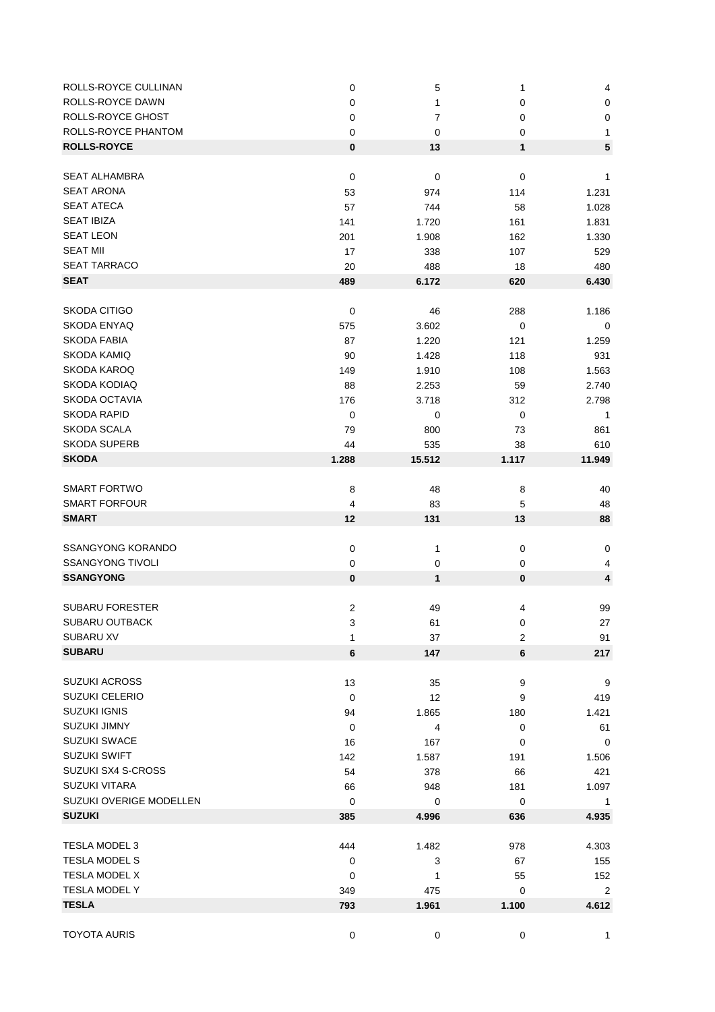| ROLLS-ROYCE CULLINAN     | $\mathbf 0$      | 5           | 1                | 4              |
|--------------------------|------------------|-------------|------------------|----------------|
| <b>ROLLS-ROYCE DAWN</b>  | 0                | 1           | 0                | $\pmb{0}$      |
| ROLLS-ROYCE GHOST        | 0                | 7           | 0                | $\pmb{0}$      |
| ROLLS-ROYCE PHANTOM      | 0                | 0           | 0                | 1              |
| <b>ROLLS-ROYCE</b>       | $\pmb{0}$        | 13          | 1                | 5              |
|                          |                  |             |                  |                |
| <b>SEAT ALHAMBRA</b>     | $\mathbf 0$      | 0           | 0                | 1              |
| <b>SEAT ARONA</b>        | 53               | 974         | 114              | 1.231          |
| <b>SEAT ATECA</b>        | 57               | 744         | 58               | 1.028          |
| <b>SEAT IBIZA</b>        | 141              | 1.720       | 161              | 1.831          |
| <b>SEAT LEON</b>         | 201              | 1.908       | 162              | 1.330          |
| <b>SEAT MII</b>          | 17               | 338         | 107              | 529            |
| <b>SEAT TARRACO</b>      | 20               | 488         | 18               | 480            |
| <b>SEAT</b>              | 489              | 6.172       | 620              | 6.430          |
|                          |                  |             |                  |                |
| SKODA CITIGO             | $\mathbf 0$      | 46          | 288              | 1.186          |
| <b>SKODA ENYAQ</b>       | 575              | 3.602       | 0                | 0              |
| <b>SKODA FABIA</b>       | 87               | 1.220       | 121              | 1.259          |
| SKODA KAMIQ              | 90               | 1.428       | 118              | 931            |
| SKODA KAROQ              | 149              | 1.910       | 108              | 1.563          |
| SKODA KODIAQ             | 88               | 2.253       | 59               | 2.740          |
| <b>SKODA OCTAVIA</b>     | 176              | 3.718       | 312              | 2.798          |
| <b>SKODA RAPID</b>       | $\pmb{0}$        | 0           | 0                | $\mathbf{1}$   |
| SKODA SCALA              | 79               | 800         | 73               | 861            |
| <b>SKODA SUPERB</b>      | 44               | 535         | 38               | 610            |
| <b>SKODA</b>             | 1.288            | 15.512      | 1.117            | 11.949         |
|                          |                  |             |                  |                |
| <b>SMART FORTWO</b>      | 8                | 48          | 8                | 40             |
| <b>SMART FORFOUR</b>     | 4                | 83          | 5                | 48             |
| <b>SMART</b>             | 12               | 131         | 13               | 88             |
|                          |                  |             |                  |                |
| <b>SSANGYONG KORANDO</b> | $\mathbf 0$      | 1           | $\mathbf 0$      | $\pmb{0}$      |
| <b>SSANGYONG TIVOLI</b>  | 0                | $\mathbf 0$ | 0                | 4              |
| <b>SSANGYONG</b>         | $\pmb{0}$        | 1           | 0                | 4              |
|                          |                  |             |                  |                |
| <b>SUBARU FORESTER</b>   | $\boldsymbol{2}$ | 49          | 4                | 99             |
| SUBARU OUTBACK           | 3                | 61          | 0                | 27             |
| SUBARU XV                | 1                | 37          | $\overline{c}$   | 91             |
| <b>SUBARU</b>            | $6\phantom{1}$   | 147         | 6                | 217            |
|                          |                  |             |                  |                |
| <b>SUZUKI ACROSS</b>     | 13               | 35          | $\boldsymbol{9}$ | $9\,$          |
| <b>SUZUKI CELERIO</b>    | $\mathbf 0$      | 12          | 9                | 419            |
| <b>SUZUKI IGNIS</b>      | 94               | 1.865       | 180              | 1.421          |
| <b>SUZUKI JIMNY</b>      | 0                | 4           | $\mathbf 0$      | 61             |
| <b>SUZUKI SWACE</b>      | 16               | 167         | 0                | 0              |
| SUZUKI SWIFT             | 142              | 1.587       | 191              | 1.506          |
| SUZUKI SX4 S-CROSS       | 54               | 378         | 66               | 421            |
| <b>SUZUKI VITARA</b>     | 66               | 948         | 181              | 1.097          |
| SUZUKI OVERIGE MODELLEN  | 0                | 0           | $\mathbf 0$      | 1              |
| <b>SUZUKI</b>            | 385              | 4.996       | 636              | 4.935          |
|                          |                  |             |                  |                |
| <b>TESLA MODEL 3</b>     | 444              | 1.482       | 978              | 4.303          |
| TESLA MODEL S            | $\mathbf 0$      | 3           | 67               | 155            |
| TESLA MODEL X            | 0                | 1           | 55               | 152            |
| TESLA MODEL Y            | 349              | 475         | 0                | $\overline{2}$ |
| <b>TESLA</b>             | 793              | 1.961       | 1.100            | 4.612          |
|                          |                  |             |                  |                |
| <b>TOYOTA AURIS</b>      | $\pmb{0}$        | 0           | 0                | $\mathbf{1}$   |
|                          |                  |             |                  |                |